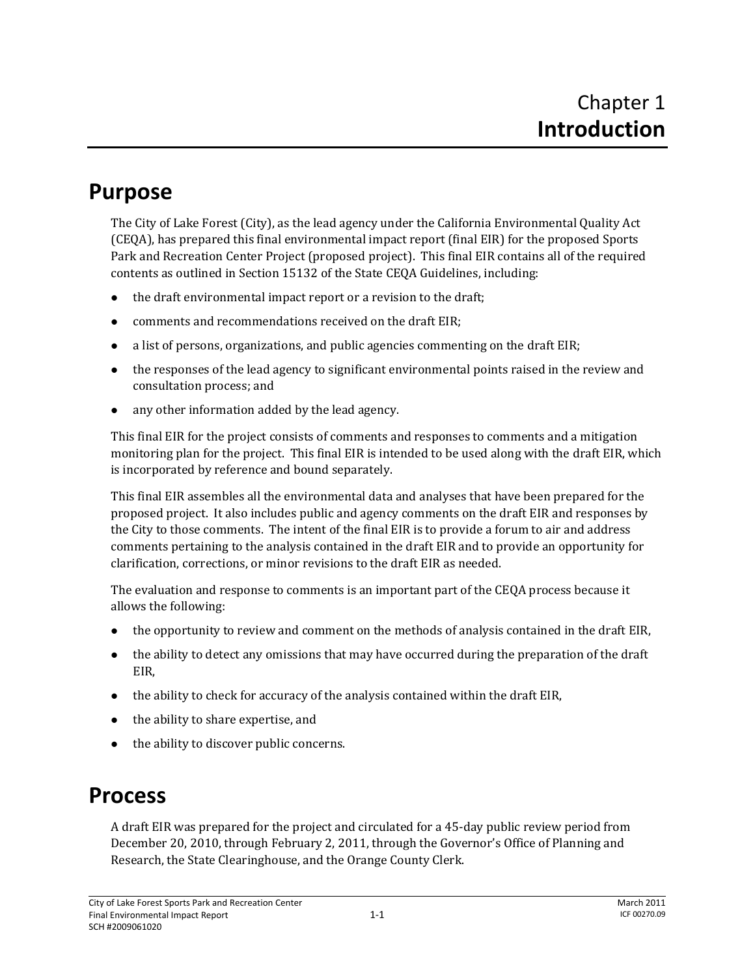## **Purpose**

The City of Lake Forest (City), as the lead agency under the California Environmental Quality Act (CEQA), has prepared this final environmental impact report (final EIR) for the proposed Sports Park and Recreation Center Project (proposed project). This final EIR contains all of the required contents as outlined in Section 15132 of the State CEQA Guidelines, including:

- $\bullet$  the draft environmental impact report or a revision to the draft;
- $\bullet$  comments and recommendations received on the draft EIR:
- a list of persons, organizations, and public agencies commenting on the draft EIR;
- $\bullet$  the responses of the lead agency to significant environmental points raised in the review and consultation process; and
- $\bullet$  any other information added by the lead agency.

This final EIR for the project consists of comments and responses to comments and a mitigation monitoring plan for the project. This final EIR is intended to be used along with the draft EIR, which is incorporated by reference and bound separately.

This final EIR assembles all the environmental data and analyses that have been prepared for the proposed project. It also includes public and agency comments on the draft EIR and responses by the City to those comments. The intent of the final EIR is to provide a forum to air and address comments pertaining to the analysis contained in the draft EIR and to provide an opportunity for clarification, corrections, or minor revisions to the draft EIR as needed.

The evaluation and response to comments is an important part of the CEQA process because it allows the following:

- the opportunity to review and comment on the methods of analysis contained in the draft EIR,
- the ability to detect any omissions that may have occurred during the preparation of the draft EIR,
- $\bullet$  the ability to check for accuracy of the analysis contained within the draft EIR,
- the ability to share expertise, and
- the ability to discover public concerns.

## **Process**

A draft EIR was prepared for the project and circulated for a 45‐day public review period from December 20, 2010, through February 2, 2011, through the Governor's Office of Planning and Research, the State Clearinghouse, and the Orange County Clerk.